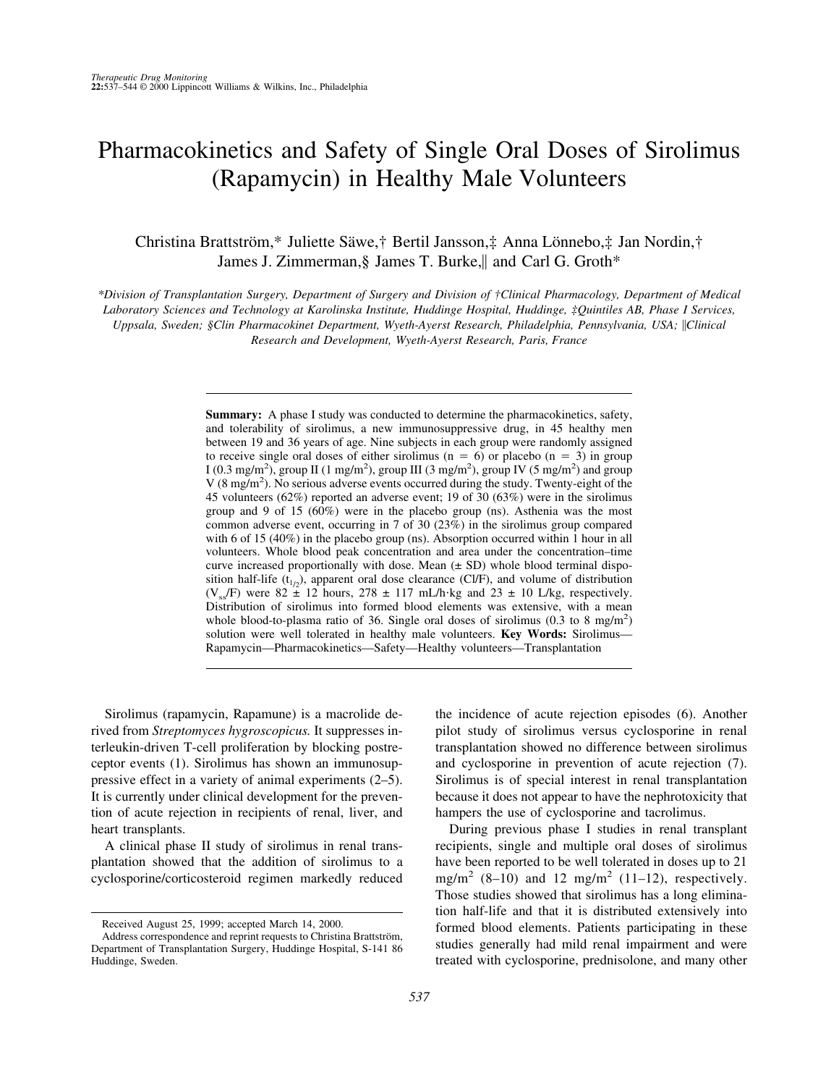# Pharmacokinetics and Safety of Single Oral Doses of Sirolimus (Rapamycin) in Healthy Male Volunteers

Christina Brattström,\* Juliette Säwe,† Bertil Jansson,‡ Anna Lönnebo,‡ Jan Nordin,† James J. Zimmerman, § James T. Burke, and Carl G. Groth\*

*\*Division of Transplantation Surgery, Department of Surgery and Division of †Clinical Pharmacology, Department of Medical Laboratory Sciences and Technology at Karolinska Institute, Huddinge Hospital, Huddinge, ‡Quintiles AB, Phase I Services, Uppsala, Sweden; §Clin Pharmacokinet Department, Wyeth-Ayerst Research, Philadelphia, Pennsylvania, USA; Clinical*

*Research and Development, Wyeth-Ayerst Research, Paris, France*

**Summary:** A phase I study was conducted to determine the pharmacokinetics, safety, and tolerability of sirolimus, a new immunosuppressive drug, in 45 healthy men between 19 and 36 years of age. Nine subjects in each group were randomly assigned to receive single oral doses of either sirolimus  $(n = 6)$  or placebo  $(n = 3)$  in group I (0.3 mg/m<sup>2</sup>), group II (1 mg/m<sup>2</sup>), group III (3 mg/m<sup>2</sup>), group IV (5 mg/m<sup>2</sup>) and group V (8 mg/m<sup>2</sup> ). No serious adverse events occurred during the study. Twenty-eight of the 45 volunteers (62%) reported an adverse event; 19 of 30 (63%) were in the sirolimus group and 9 of 15 (60%) were in the placebo group (ns). Asthenia was the most common adverse event, occurring in 7 of 30 (23%) in the sirolimus group compared with 6 of 15 (40%) in the placebo group (ns). Absorption occurred within 1 hour in all volunteers. Whole blood peak concentration and area under the concentration–time curve increased proportionally with dose. Mean (± SD) whole blood terminal disposition half-life  $(t_{1/2})$ , apparent oral dose clearance (Cl/F), and volume of distribution  $(V_{\rm sc}/F)$  were 82  $\pm$  12 hours, 278  $\pm$  117 mL/h·kg and 23  $\pm$  10 L/kg, respectively. Distribution of sirolimus into formed blood elements was extensive, with a mean whole blood-to-plasma ratio of 36. Single oral doses of sirolimus  $(0.3 \text{ to } 8 \text{ mg/m}^2)$ solution were well tolerated in healthy male volunteers. **Key Words:** Sirolimus— Rapamycin—Pharmacokinetics—Safety—Healthy volunteers—Transplantation

Sirolimus (rapamycin, Rapamune) is a macrolide derived from *Streptomyces hygroscopicus.* It suppresses interleukin-driven T-cell proliferation by blocking postreceptor events (1). Sirolimus has shown an immunosuppressive effect in a variety of animal experiments (2–5). It is currently under clinical development for the prevention of acute rejection in recipients of renal, liver, and heart transplants.

A clinical phase II study of sirolimus in renal transplantation showed that the addition of sirolimus to a cyclosporine/corticosteroid regimen markedly reduced

the incidence of acute rejection episodes (6). Another pilot study of sirolimus versus cyclosporine in renal transplantation showed no difference between sirolimus and cyclosporine in prevention of acute rejection (7). Sirolimus is of special interest in renal transplantation because it does not appear to have the nephrotoxicity that hampers the use of cyclosporine and tacrolimus.

During previous phase I studies in renal transplant recipients, single and multiple oral doses of sirolimus have been reported to be well tolerated in doses up to 21 mg/m<sup>2</sup> (8–10) and 12 mg/m<sup>2</sup> (11–12), respectively. Those studies showed that sirolimus has a long elimination half-life and that it is distributed extensively into formed blood elements. Patients participating in these studies generally had mild renal impairment and were treated with cyclosporine, prednisolone, and many other

Received August 25, 1999; accepted March 14, 2000.

Address correspondence and reprint requests to Christina Brattström, Department of Transplantation Surgery, Huddinge Hospital, S-141 86 Huddinge, Sweden.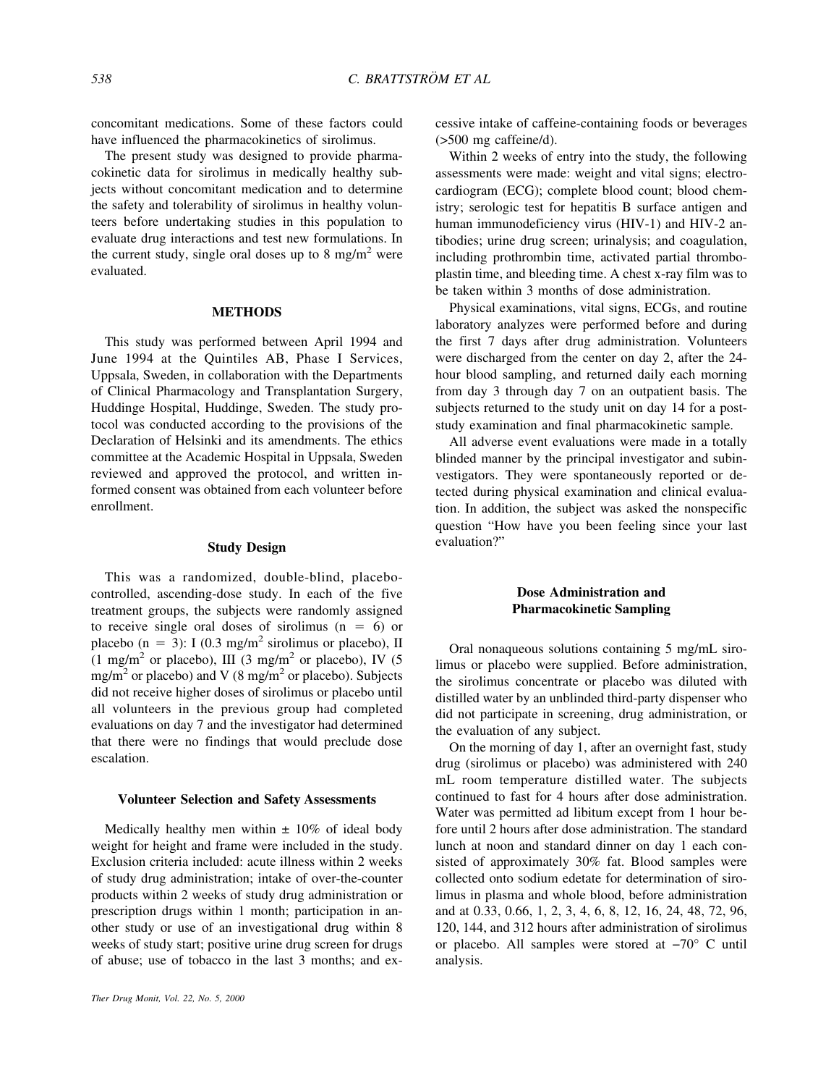concomitant medications. Some of these factors could have influenced the pharmacokinetics of sirolimus.

The present study was designed to provide pharmacokinetic data for sirolimus in medically healthy subjects without concomitant medication and to determine the safety and tolerability of sirolimus in healthy volunteers before undertaking studies in this population to evaluate drug interactions and test new formulations. In the current study, single oral doses up to 8 mg/m<sup>2</sup> were evaluated.

### **METHODS**

This study was performed between April 1994 and June 1994 at the Quintiles AB, Phase I Services, Uppsala, Sweden, in collaboration with the Departments of Clinical Pharmacology and Transplantation Surgery, Huddinge Hospital, Huddinge, Sweden. The study protocol was conducted according to the provisions of the Declaration of Helsinki and its amendments. The ethics committee at the Academic Hospital in Uppsala, Sweden reviewed and approved the protocol, and written informed consent was obtained from each volunteer before enrollment.

### **Study Design**

This was a randomized, double-blind, placebocontrolled, ascending-dose study. In each of the five treatment groups, the subjects were randomly assigned to receive single oral doses of sirolimus  $(n = 6)$  or placebo (n = 3): I (0.3 mg/m<sup>2</sup> sirolimus or placebo), II  $(1 \text{ mg/m}^2 \text{ or } \text{placebo})$ , III  $(3 \text{ mg/m}^2 \text{ or } \text{placebo})$ , IV  $(5 \text{ mg/m}^2 \text{ or } \text{placebo})$  $mg/m<sup>2</sup>$  or placebo) and V (8 mg/m<sup>2</sup> or placebo). Subjects did not receive higher doses of sirolimus or placebo until all volunteers in the previous group had completed evaluations on day 7 and the investigator had determined that there were no findings that would preclude dose escalation.

### **Volunteer Selection and Safety Assessments**

Medically healthy men within  $\pm 10\%$  of ideal body weight for height and frame were included in the study. Exclusion criteria included: acute illness within 2 weeks of study drug administration; intake of over-the-counter products within 2 weeks of study drug administration or prescription drugs within 1 month; participation in another study or use of an investigational drug within 8 weeks of study start; positive urine drug screen for drugs of abuse; use of tobacco in the last 3 months; and excessive intake of caffeine-containing foods or beverages  $($ >500 mg caffeine $/d$ ).

Within 2 weeks of entry into the study, the following assessments were made: weight and vital signs; electrocardiogram (ECG); complete blood count; blood chemistry; serologic test for hepatitis B surface antigen and human immunodeficiency virus (HIV-1) and HIV-2 antibodies; urine drug screen; urinalysis; and coagulation, including prothrombin time, activated partial thromboplastin time, and bleeding time. A chest x-ray film was to be taken within 3 months of dose administration.

Physical examinations, vital signs, ECGs, and routine laboratory analyzes were performed before and during the first 7 days after drug administration. Volunteers were discharged from the center on day 2, after the 24 hour blood sampling, and returned daily each morning from day 3 through day 7 on an outpatient basis. The subjects returned to the study unit on day 14 for a poststudy examination and final pharmacokinetic sample.

All adverse event evaluations were made in a totally blinded manner by the principal investigator and subinvestigators. They were spontaneously reported or detected during physical examination and clinical evaluation. In addition, the subject was asked the nonspecific question "How have you been feeling since your last evaluation?"

### **Dose Administration and Pharmacokinetic Sampling**

Oral nonaqueous solutions containing 5 mg/mL sirolimus or placebo were supplied. Before administration, the sirolimus concentrate or placebo was diluted with distilled water by an unblinded third-party dispenser who did not participate in screening, drug administration, or the evaluation of any subject.

On the morning of day 1, after an overnight fast, study drug (sirolimus or placebo) was administered with 240 mL room temperature distilled water. The subjects continued to fast for 4 hours after dose administration. Water was permitted ad libitum except from 1 hour before until 2 hours after dose administration. The standard lunch at noon and standard dinner on day 1 each consisted of approximately 30% fat. Blood samples were collected onto sodium edetate for determination of sirolimus in plasma and whole blood, before administration and at 0.33, 0.66, 1, 2, 3, 4, 6, 8, 12, 16, 24, 48, 72, 96, 120, 144, and 312 hours after administration of sirolimus or placebo. All samples were stored at −70° C until analysis.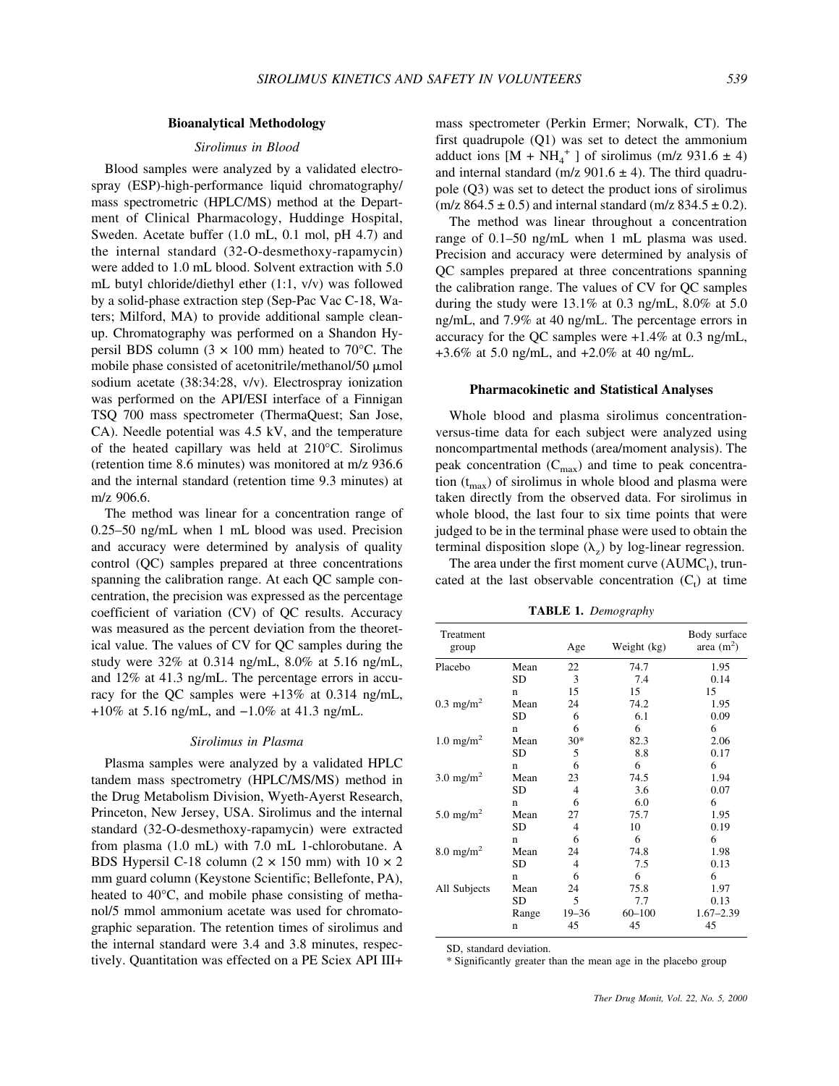### **Bioanalytical Methodology**

#### *Sirolimus in Blood*

Blood samples were analyzed by a validated electrospray (ESP)-high-performance liquid chromatography/ mass spectrometric (HPLC/MS) method at the Department of Clinical Pharmacology, Huddinge Hospital, Sweden. Acetate buffer (1.0 mL, 0.1 mol, pH 4.7) and the internal standard (32-O-desmethoxy-rapamycin) were added to 1.0 mL blood. Solvent extraction with 5.0 mL butyl chloride/diethyl ether (1:1, v/v) was followed by a solid-phase extraction step (Sep-Pac Vac C-18, Waters; Milford, MA) to provide additional sample cleanup. Chromatography was performed on a Shandon Hypersil BDS column  $(3 \times 100 \text{ mm})$  heated to 70°C. The mobile phase consisted of acetonitrile/methanol/50 µmol sodium acetate (38:34:28, v/v). Electrospray ionization was performed on the API/ESI interface of a Finnigan TSQ 700 mass spectrometer (ThermaQuest; San Jose, CA). Needle potential was 4.5 kV, and the temperature of the heated capillary was held at 210°C. Sirolimus (retention time 8.6 minutes) was monitored at m/z 936.6 and the internal standard (retention time 9.3 minutes) at m/z 906.6.

The method was linear for a concentration range of 0.25–50 ng/mL when 1 mL blood was used. Precision and accuracy were determined by analysis of quality control (QC) samples prepared at three concentrations spanning the calibration range. At each QC sample concentration, the precision was expressed as the percentage coefficient of variation (CV) of QC results. Accuracy was measured as the percent deviation from the theoretical value. The values of CV for QC samples during the study were 32% at 0.314 ng/mL, 8.0% at 5.16 ng/mL, and 12% at 41.3 ng/mL. The percentage errors in accuracy for the QC samples were +13% at 0.314 ng/mL, +10% at 5.16 ng/mL, and −1.0% at 41.3 ng/mL.

### *Sirolimus in Plasma*

Plasma samples were analyzed by a validated HPLC tandem mass spectrometry (HPLC/MS/MS) method in the Drug Metabolism Division, Wyeth-Ayerst Research, Princeton, New Jersey, USA. Sirolimus and the internal standard (32-O-desmethoxy-rapamycin) were extracted from plasma (1.0 mL) with 7.0 mL 1-chlorobutane. A BDS Hypersil C-18 column  $(2 \times 150 \text{ mm})$  with  $10 \times 2$ mm guard column (Keystone Scientific; Bellefonte, PA), heated to 40°C, and mobile phase consisting of methanol/5 mmol ammonium acetate was used for chromatographic separation. The retention times of sirolimus and the internal standard were 3.4 and 3.8 minutes, respectively. Quantitation was effected on a PE Sciex API III+ mass spectrometer (Perkin Ermer; Norwalk, CT). The first quadrupole (Q1) was set to detect the ammonium adduct ions  $[M + NH_4^+]$  of sirolimus (m/z 931.6  $\pm$  4) and internal standard (m/z  $901.6 \pm 4$ ). The third quadrupole (Q3) was set to detect the product ions of sirolimus  $(m/z 864.5 \pm 0.5)$  and internal standard  $(m/z 834.5 \pm 0.2)$ .

The method was linear throughout a concentration range of 0.1–50 ng/mL when 1 mL plasma was used. Precision and accuracy were determined by analysis of QC samples prepared at three concentrations spanning the calibration range. The values of CV for QC samples during the study were  $13.1\%$  at 0.3 ng/mL,  $8.0\%$  at 5.0 ng/mL, and 7.9% at 40 ng/mL. The percentage errors in accuracy for the QC samples were +1.4% at 0.3 ng/mL, +3.6% at 5.0 ng/mL, and +2.0% at 40 ng/mL.

#### **Pharmacokinetic and Statistical Analyses**

Whole blood and plasma sirolimus concentrationversus-time data for each subject were analyzed using noncompartmental methods (area/moment analysis). The peak concentration  $(C_{\text{max}})$  and time to peak concentration  $(t_{\text{max}})$  of sirolimus in whole blood and plasma were taken directly from the observed data. For sirolimus in whole blood, the last four to six time points that were judged to be in the terminal phase were used to obtain the terminal disposition slope  $(\lambda_z)$  by log-linear regression.

The area under the first moment curve  $(AUMC_t)$ , truncated at the last observable concentration  $(C_t)$  at time

**TABLE 1.** *Demography*

| Treatment<br>group   |       | Age       | Weight (kg) | Body surface<br>area $(m^2)$ |
|----------------------|-------|-----------|-------------|------------------------------|
| Placebo              | Mean  | 22        | 74.7        | 1.95                         |
|                      | SD    | 3         | 7.4         | 0.14                         |
|                      | n     | 15        | 15          | 15                           |
| $0.3 \text{ mg/m}^2$ | Mean  | 24        | 74.2        | 1.95                         |
|                      | SD    | 6         | 6.1         | 0.09                         |
|                      | n     | 6         | 6           | 6                            |
| $1.0 \text{ mg/m}^2$ | Mean  | $30*$     | 82.3        | 2.06                         |
|                      | SD    | 5         | 8.8         | 0.17                         |
|                      | n     | 6         | 6           | 6                            |
| $3.0 \text{ mg/m}^2$ | Mean  | 23        | 74.5        | 1.94                         |
|                      | SD    | 4         | 3.6         | 0.07                         |
|                      | n     | 6         | 6.0         | 6                            |
| $5.0 \text{ mg/m}^2$ | Mean  | 27        | 75.7        | 1.95                         |
|                      | SD    | 4         | 10          | 0.19                         |
|                      | n     | 6         | 6           | 6                            |
| $8.0 \text{ mg/m}^2$ | Mean  | 24        | 74.8        | 1.98                         |
|                      | SD    | 4         | 7.5         | 0.13                         |
|                      | n     | 6         | 6           | 6                            |
| All Subjects         | Mean  | 24        | 75.8        | 1.97                         |
|                      | SD    | 5         | 7.7         | 0.13                         |
|                      | Range | $19 - 36$ | $60 - 100$  | $1.67 - 2.39$                |
|                      | n     | 45        | 45          | 45                           |

SD, standard deviation.

\* Significantly greater than the mean age in the placebo group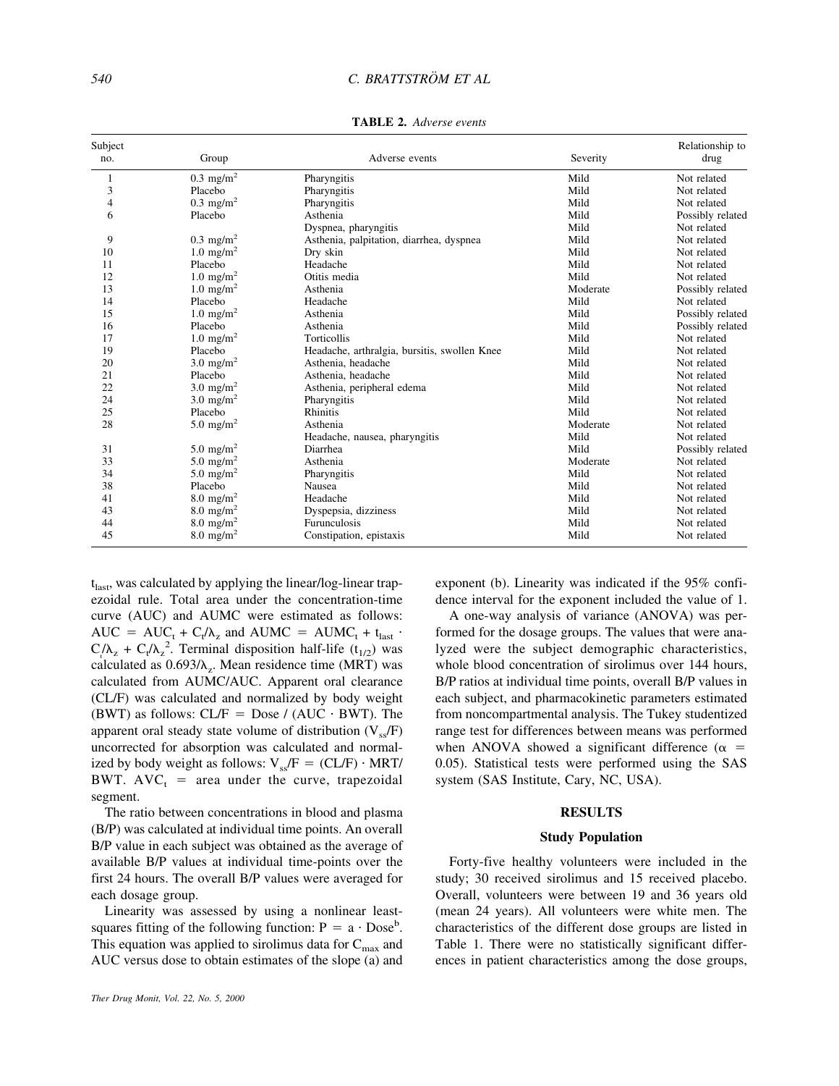### *<i>C. BRATTSTRÖM ET AL*

| Subject<br>no. | Group                   | Adverse events                               | Severity | Relationship to<br>drug |
|----------------|-------------------------|----------------------------------------------|----------|-------------------------|
| 1              | $0.3$ mg/m <sup>2</sup> | Pharyngitis                                  | Mild     | Not related             |
| 3              | Placebo                 | Pharyngitis                                  | Mild     | Not related             |
| $\overline{4}$ | $0.3 \text{ mg/m}^2$    | Pharyngitis                                  | Mild     | Not related             |
| 6              | Placebo                 | Asthenia                                     | Mild     | Possibly related        |
|                |                         | Dyspnea, pharyngitis                         | Mild     | Not related             |
| 9              | $0.3$ mg/m <sup>2</sup> | Asthenia, palpitation, diarrhea, dyspnea     | Mild     | Not related             |
| 10             | 1.0 mg/m <sup>2</sup>   | Dry skin                                     | Mild     | Not related             |
| 11             | Placebo                 | Headache                                     | Mild     | Not related             |
| 12             | $1.0 \text{ mg/m}^2$    | Otitis media                                 | Mild     | Not related             |
| 13             | $1.0 \text{ mg/m}^2$    | Asthenia                                     | Moderate | Possibly related        |
| 14             | Placebo                 | Headache                                     | Mild     | Not related             |
| 15             | $1.0 \text{ mg/m}^2$    | Asthenia                                     | Mild     | Possibly related        |
| 16             | Placebo                 | Asthenia                                     | Mild     | Possibly related        |
| 17             | $1.0 \text{ mg/m}^2$    | Torticollis                                  | Mild     | Not related             |
| 19             | Placebo                 | Headache, arthralgia, bursitis, swollen Knee | Mild     | Not related             |
| 20             | 3.0 mg/m <sup>2</sup>   | Asthenia, headache                           | Mild     | Not related             |
| 21             | Placebo                 | Asthenia, headache                           | Mild     | Not related             |
| 22             | 3.0 mg/m <sup>2</sup>   | Asthenia, peripheral edema                   | Mild     | Not related             |
| 24             | 3.0 mg/m <sup>2</sup>   | Pharyngitis                                  | Mild     | Not related             |
| 25             | Placebo                 | <b>Rhinitis</b>                              | Mild     | Not related             |
| 28             | 5.0 mg/m <sup>2</sup>   | Asthenia                                     | Moderate | Not related             |
|                |                         | Headache, nausea, pharyngitis                | Mild     | Not related             |
| 31             | 5.0 mg/m <sup>2</sup>   | Diarrhea                                     | Mild     | Possibly related        |
| 33             | 5.0 mg/m <sup>2</sup>   | Asthenia                                     | Moderate | Not related             |
| 34             | 5.0 mg/m <sup>2</sup>   | Pharyngitis                                  | Mild     | Not related             |
| 38             | Placebo                 | Nausea                                       | Mild     | Not related             |
| 41             | 8.0 mg/m <sup>2</sup>   | Headache                                     | Mild     | Not related             |
| 43             | $8.0 \text{ mg/m}^2$    | Dyspepsia, dizziness                         | Mild     | Not related             |
| 44             | $8.0 \text{ mg/m}^2$    | <b>Furunculosis</b>                          | Mild     | Not related             |
| 45             | $8.0 \text{ mg/m}^2$    | Constipation, epistaxis                      | Mild     | Not related             |

**TABLE 2.** *Adverse events*

 $t_{last}$ , was calculated by applying the linear/log-linear trapezoidal rule. Total area under the concentration-time curve (AUC) and AUMC were estimated as follows:  $AUC = AUC_t + C_t/\lambda_z$  and  $AUMC = AUMC_t + t_{last}$ .  $C_l/\lambda_z + C_l/\lambda_z^2$ . Terminal disposition half-life  $(t_{1/2})$  was calculated as  $0.693/\lambda_z$ . Mean residence time (MRT) was calculated from AUMC/AUC. Apparent oral clearance (CL/F) was calculated and normalized by body weight (BWT) as follows:  $CL/F = Does / (AUC \cdot BWT)$ . The apparent oral steady state volume of distribution  $(V_{ss}/F)$ uncorrected for absorption was calculated and normalized by body weight as follows:  $V_{ss}/F = (CL/F) \cdot MRT/$ BWT.  $AVC_t$  = area under the curve, trapezoidal segment.

The ratio between concentrations in blood and plasma (B/P) was calculated at individual time points. An overall B/P value in each subject was obtained as the average of available B/P values at individual time-points over the first 24 hours. The overall B/P values were averaged for each dosage group.

Linearity was assessed by using a nonlinear leastsquares fitting of the following function:  $P = a \cdot Dose^b$ . This equation was applied to sirolimus data for  $C_{\text{max}}$  and AUC versus dose to obtain estimates of the slope (a) and exponent (b). Linearity was indicated if the 95% confidence interval for the exponent included the value of 1.

A one-way analysis of variance (ANOVA) was performed for the dosage groups. The values that were analyzed were the subject demographic characteristics, whole blood concentration of sirolimus over 144 hours, B/P ratios at individual time points, overall B/P values in each subject, and pharmacokinetic parameters estimated from noncompartmental analysis. The Tukey studentized range test for differences between means was performed when ANOVA showed a significant difference ( $\alpha$  = 0.05). Statistical tests were performed using the SAS system (SAS Institute, Cary, NC, USA).

### **RESULTS**

### **Study Population**

Forty-five healthy volunteers were included in the study; 30 received sirolimus and 15 received placebo. Overall, volunteers were between 19 and 36 years old (mean 24 years). All volunteers were white men. The characteristics of the different dose groups are listed in Table 1. There were no statistically significant differences in patient characteristics among the dose groups,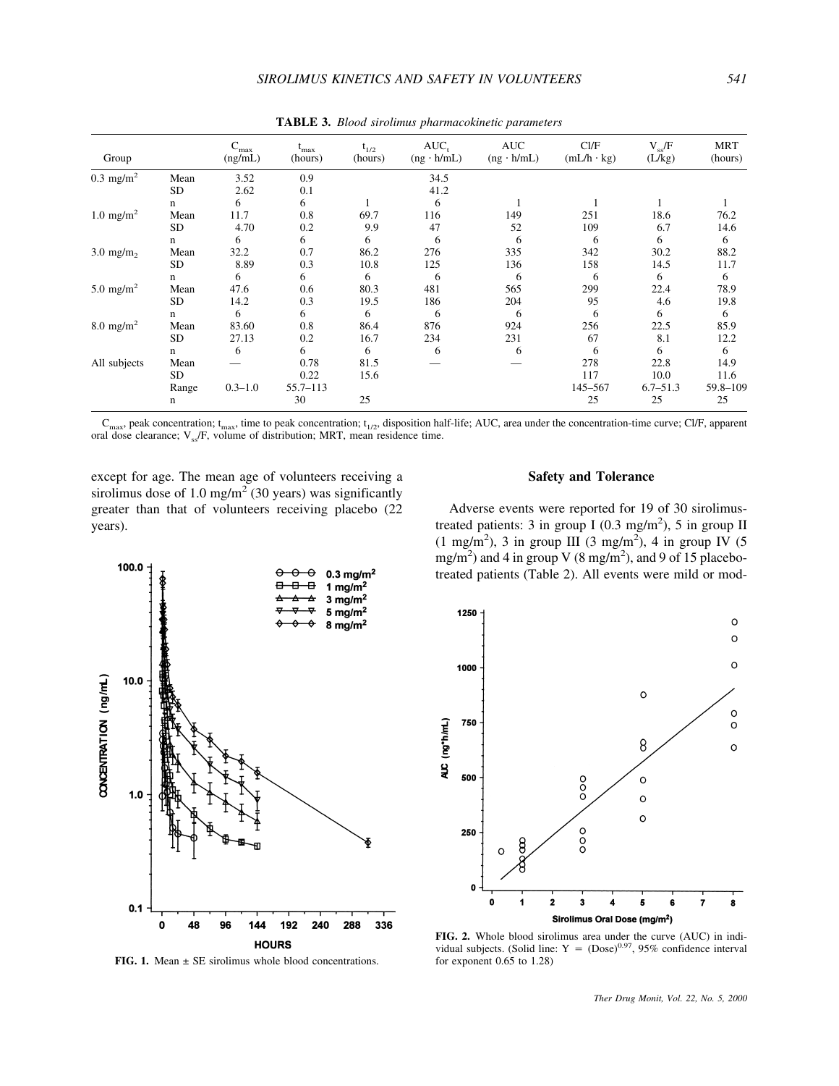| Group                 |           | $C_{\rm max}$<br>(ng/mL) | $t_{\rm max}$<br>(hours) | $t_{1/2}$<br>(hours) | $AUC_t$<br>$(ng \cdot h/mL)$ | <b>AUC</b><br>$(ng \cdot h/mL)$ | Cl/F<br>$(mL/h \cdot kg)$ | $V_{ss}/F$<br>(L/kg) | <b>MRT</b><br>(hours) |
|-----------------------|-----------|--------------------------|--------------------------|----------------------|------------------------------|---------------------------------|---------------------------|----------------------|-----------------------|
| $0.3 \text{ mg/m}^2$  | Mean      | 3.52                     | 0.9                      |                      | 34.5                         |                                 |                           |                      |                       |
|                       | <b>SD</b> | 2.62                     | 0.1                      |                      | 41.2                         |                                 |                           |                      |                       |
|                       | n         | 6                        | 6                        |                      | 6                            |                                 |                           |                      |                       |
| $1.0 \text{ mg/m}^2$  | Mean      | 11.7                     | 0.8                      | 69.7                 | 116                          | 149                             | 251                       | 18.6                 | 76.2                  |
|                       | <b>SD</b> | 4.70                     | 0.2                      | 9.9                  | 47                           | 52                              | 109                       | 6.7                  | 14.6                  |
|                       | n         | 6                        | 6                        | 6                    | 6                            | 6                               | 6                         | 6                    | 6                     |
| $3.0 \text{ mg/m}_2$  | Mean      | 32.2                     | 0.7                      | 86.2                 | 276                          | 335                             | 342                       | 30.2                 | 88.2                  |
|                       | <b>SD</b> | 8.89                     | 0.3                      | 10.8                 | 125                          | 136                             | 158                       | 14.5                 | 11.7                  |
|                       | n         | 6                        | 6                        | 6                    | 6                            | 6                               | 6                         | 6                    | 6                     |
| 5.0 mg/m <sup>2</sup> | Mean      | 47.6                     | 0.6                      | 80.3                 | 481                          | 565                             | 299                       | 22.4                 | 78.9                  |
|                       | SD        | 14.2                     | 0.3                      | 19.5                 | 186                          | 204                             | 95                        | 4.6                  | 19.8                  |
|                       | n         | 6                        | 6                        | 6                    | 6                            | 6                               | 6                         | 6                    | 6                     |
| $8.0 \text{ mg/m}^2$  | Mean      | 83.60                    | 0.8                      | 86.4                 | 876                          | 924                             | 256                       | 22.5                 | 85.9                  |
|                       | SD        | 27.13                    | 0.2                      | 16.7                 | 234                          | 231                             | 67                        | 8.1                  | 12.2                  |
|                       | n         | 6                        | 6                        | 6                    | 6                            | 6                               | 6                         | 6                    | 6                     |
| All subjects          | Mean      |                          | 0.78                     | 81.5                 |                              |                                 | 278                       | 22.8                 | 14.9                  |
|                       | <b>SD</b> |                          | 0.22                     | 15.6                 |                              |                                 | 117                       | 10.0                 | 11.6                  |
|                       | Range     | $0.3 - 1.0$              | $55.7 - 113$             |                      |                              |                                 | 145-567                   | $6.7 - 51.3$         | 59.8-109              |
|                       | n         |                          | 30                       | 25                   |                              |                                 | 25                        | 25                   | 25                    |

**TABLE 3.** *Blood sirolimus pharmacokinetic parameters*

 $C_{\text{max}}$ , peak concentration;  $t_{\text{max}}$ , time to peak concentration;  $t_{1/2}$ , disposition half-life; AUC, area under the concentration-time curve; Cl/F, apparent oral dose clearance;  $V_{ss}/F$ , volume of distribution; MRT, mean residence time.

except for age. The mean age of volunteers receiving a sirolimus dose of 1.0 mg/m<sup>2</sup> (30 years) was significantly greater than that of volunteers receiving placebo (22 years).

### **Safety and Tolerance**

Adverse events were reported for 19 of 30 sirolimustreated patients: 3 in group I (0.3 mg/m<sup>2</sup>), 5 in group II  $(1 \text{ mg/m}^2)$ , 3 in group III  $(3 \text{ mg/m}^2)$ , 4 in group IV  $(5 \text{ mg/m}^2)$  $mg/m<sup>2</sup>$ ) and 4 in group V (8 mg/m<sup>2</sup>), and 9 of 15 placebotreated patients (Table 2). All events were mild or mod-



**FIG. 1.** Mean ± SE sirolimus whole blood concentrations.



**FIG. 2.** Whole blood sirolimus area under the curve (AUC) in individual subjects. (Solid line:  $Y = (Dose)^{0.97}$ , 95% confidence interval for exponent 0.65 to 1.28)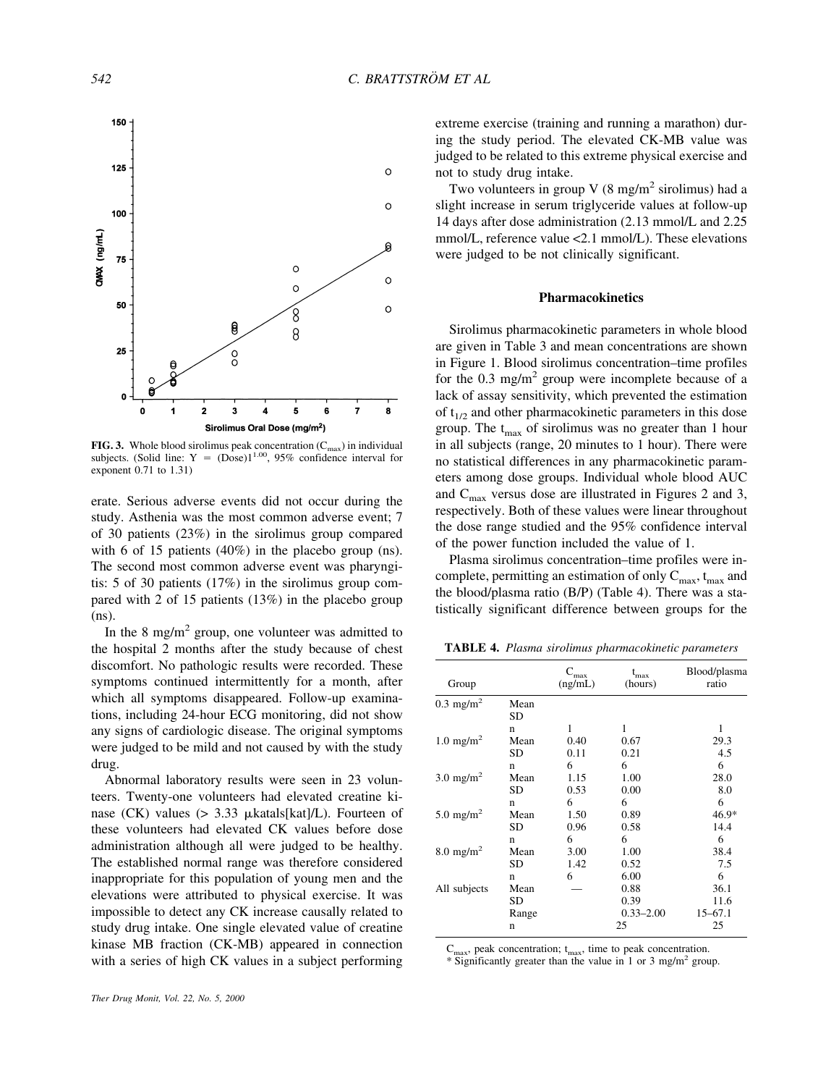

**FIG. 3.** Whole blood sirolimus peak concentration  $(C_{\text{max}})$  in individual subjects. (Solid line:  $Y = (Dose)1^{1.00}$ , 95% confidence interval for exponent 0.71 to 1.31)

erate. Serious adverse events did not occur during the study. Asthenia was the most common adverse event; 7 of 30 patients (23%) in the sirolimus group compared with 6 of 15 patients (40%) in the placebo group (ns). The second most common adverse event was pharyngitis: 5 of 30 patients (17%) in the sirolimus group compared with 2 of 15 patients (13%) in the placebo group (ns).

In the 8 mg/m<sup>2</sup> group, one volunteer was admitted to the hospital 2 months after the study because of chest discomfort. No pathologic results were recorded. These symptoms continued intermittently for a month, after which all symptoms disappeared. Follow-up examinations, including 24-hour ECG monitoring, did not show any signs of cardiologic disease. The original symptoms were judged to be mild and not caused by with the study drug.

Abnormal laboratory results were seen in 23 volunteers. Twenty-one volunteers had elevated creatine kinase  $(CK)$  values  $(> 3.33 \mu katals[kat]/L)$ . Fourteen of these volunteers had elevated CK values before dose administration although all were judged to be healthy. The established normal range was therefore considered inappropriate for this population of young men and the elevations were attributed to physical exercise. It was impossible to detect any CK increase causally related to study drug intake. One single elevated value of creatine kinase MB fraction (CK-MB) appeared in connection with a series of high CK values in a subject performing

extreme exercise (training and running a marathon) during the study period. The elevated CK-MB value was judged to be related to this extreme physical exercise and not to study drug intake.

Two volunteers in group V  $(8 \text{ mg/m}^2 \text{ sirolimus})$  had a slight increase in serum triglyceride values at follow-up 14 days after dose administration (2.13 mmol/L and 2.25 mmol/L, reference value <2.1 mmol/L). These elevations were judged to be not clinically significant.

### **Pharmacokinetics**

Sirolimus pharmacokinetic parameters in whole blood are given in Table 3 and mean concentrations are shown in Figure 1. Blood sirolimus concentration–time profiles for the 0.3 mg/m<sup>2</sup> group were incomplete because of a lack of assay sensitivity, which prevented the estimation of  $t_{1/2}$  and other pharmacokinetic parameters in this dose group. The  $t_{\text{max}}$  of sirolimus was no greater than 1 hour in all subjects (range, 20 minutes to 1 hour). There were no statistical differences in any pharmacokinetic parameters among dose groups. Individual whole blood AUC and  $C_{\text{max}}$  versus dose are illustrated in Figures 2 and 3, respectively. Both of these values were linear throughout the dose range studied and the 95% confidence interval of the power function included the value of 1.

Plasma sirolimus concentration–time profiles were incomplete, permitting an estimation of only  $C_{\text{max}}$ ,  $t_{\text{max}}$  and the blood/plasma ratio (B/P) (Table 4). There was a statistically significant difference between groups for the

**TABLE 4.** *Plasma sirolimus pharmacokinetic parameters*

| Group                   |                               | $C_{\text{max}}$<br>(ng/mL) | $t_{\rm max}$<br>(hours)                    | Blood/plasma<br>ratio                  |
|-------------------------|-------------------------------|-----------------------------|---------------------------------------------|----------------------------------------|
| $0.3$ mg/m <sup>2</sup> | Mean<br>SD                    |                             |                                             |                                        |
| $1.0 \text{ mg/m}^2$    | n                             | 1                           | 1                                           | 1                                      |
|                         | Mean                          | 0.40                        | 0.67                                        | 29.3                                   |
|                         | SD                            | 0.11                        | 0.21                                        | 4.5                                    |
| $3.0$ mg/m <sup>2</sup> | n                             | 6                           | 6                                           | 6                                      |
|                         | Mean                          | 1.15                        | 1.00                                        | 28.0                                   |
|                         | SD                            | 0.53                        | 0.00                                        | 8.0                                    |
| $5.0$ mg/m <sup>2</sup> | n                             | 6                           | 6                                           | 6                                      |
|                         | Mean                          | 1.50                        | 0.89                                        | 46.9*                                  |
|                         | SD                            | 0.96                        | 0.58                                        | 14.4                                   |
| $8.0 \text{ mg/m}^2$    | n                             | 6                           | 6                                           | 6                                      |
|                         | Mean                          | 3.00                        | 1.00                                        | 38.4                                   |
|                         | SD                            | 1.42                        | 0.52                                        | 7.5                                    |
| All subjects            | n<br>Mean<br>SD<br>Range<br>n | 6                           | 6.00<br>0.88<br>0.39<br>$0.33 - 2.00$<br>25 | 6<br>36.1<br>11.6<br>$15 - 67.1$<br>25 |

 $C_{\text{max}}$ , peak concentration;  $t_{\text{max}}$ , time to peak concentration.

\* Significantly greater than the value in 1 or 3 mg/m<sup>2</sup> group.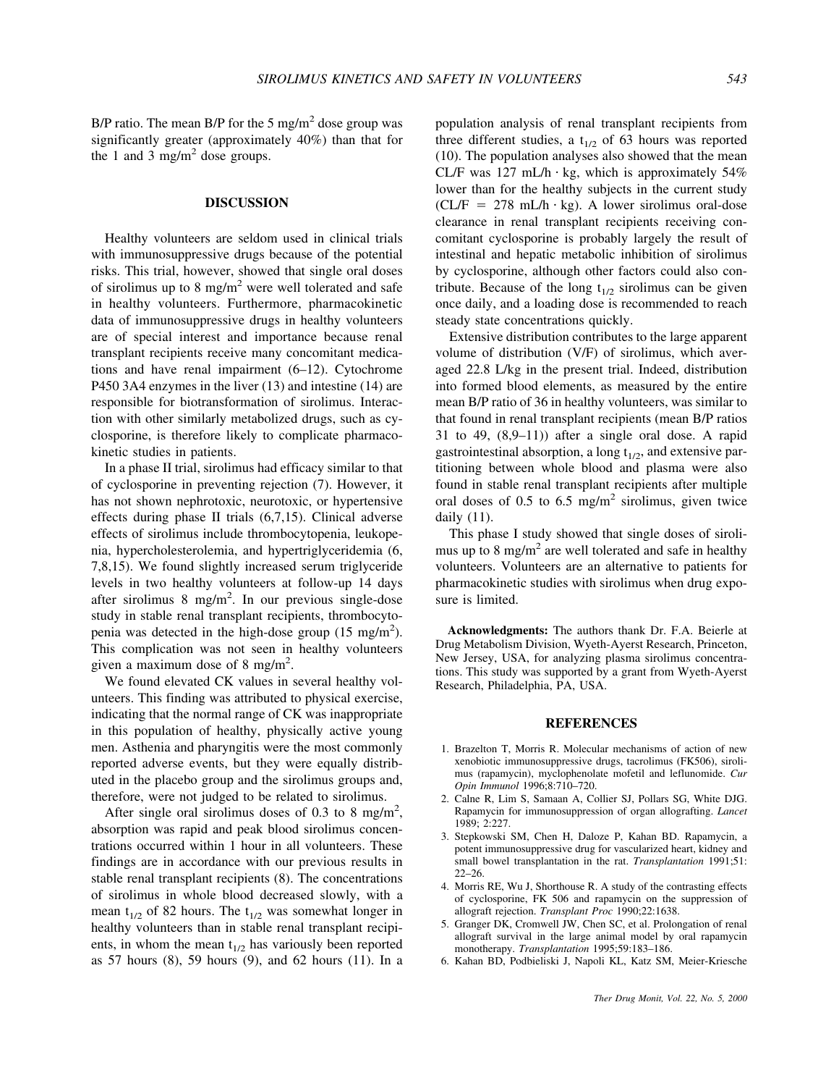B/P ratio. The mean B/P for the 5 mg/m<sup>2</sup> dose group was significantly greater (approximately 40%) than that for the 1 and 3 mg/m<sup>2</sup> dose groups.

### **DISCUSSION**

Healthy volunteers are seldom used in clinical trials with immunosuppressive drugs because of the potential risks. This trial, however, showed that single oral doses of sirolimus up to 8 mg/m<sup>2</sup> were well tolerated and safe in healthy volunteers. Furthermore, pharmacokinetic data of immunosuppressive drugs in healthy volunteers are of special interest and importance because renal transplant recipients receive many concomitant medications and have renal impairment (6–12). Cytochrome P450 3A4 enzymes in the liver (13) and intestine (14) are responsible for biotransformation of sirolimus. Interaction with other similarly metabolized drugs, such as cyclosporine, is therefore likely to complicate pharmacokinetic studies in patients.

In a phase II trial, sirolimus had efficacy similar to that of cyclosporine in preventing rejection (7). However, it has not shown nephrotoxic, neurotoxic, or hypertensive effects during phase II trials (6,7,15). Clinical adverse effects of sirolimus include thrombocytopenia, leukopenia, hypercholesterolemia, and hypertriglyceridemia (6, 7,8,15). We found slightly increased serum triglyceride levels in two healthy volunteers at follow-up 14 days after sirolimus  $8 \text{ mg/m}^2$ . In our previous single-dose study in stable renal transplant recipients, thrombocytopenia was detected in the high-dose group  $(15 \text{ mg/m}^2)$ . This complication was not seen in healthy volunteers given a maximum dose of 8 mg/m<sup>2</sup>.

We found elevated CK values in several healthy volunteers. This finding was attributed to physical exercise, indicating that the normal range of CK was inappropriate in this population of healthy, physically active young men. Asthenia and pharyngitis were the most commonly reported adverse events, but they were equally distributed in the placebo group and the sirolimus groups and, therefore, were not judged to be related to sirolimus.

After single oral sirolimus doses of 0.3 to 8 mg/m<sup>2</sup>, absorption was rapid and peak blood sirolimus concentrations occurred within 1 hour in all volunteers. These findings are in accordance with our previous results in stable renal transplant recipients (8). The concentrations of sirolimus in whole blood decreased slowly, with a mean  $t_{1/2}$  of 82 hours. The  $t_{1/2}$  was somewhat longer in healthy volunteers than in stable renal transplant recipients, in whom the mean  $t_{1/2}$  has variously been reported as 57 hours (8), 59 hours (9), and 62 hours (11). In a population analysis of renal transplant recipients from three different studies, a  $t_{1/2}$  of 63 hours was reported (10). The population analyses also showed that the mean CL/F was 127 mL/h  $\cdot$  kg, which is approximately 54% lower than for the healthy subjects in the current study  $CL/F = 278$  mL/h · kg). A lower sirolimus oral-dose clearance in renal transplant recipients receiving concomitant cyclosporine is probably largely the result of intestinal and hepatic metabolic inhibition of sirolimus by cyclosporine, although other factors could also contribute. Because of the long  $t_{1/2}$  sirolimus can be given once daily, and a loading dose is recommended to reach steady state concentrations quickly.

Extensive distribution contributes to the large apparent volume of distribution (V/F) of sirolimus, which averaged 22.8 L/kg in the present trial. Indeed, distribution into formed blood elements, as measured by the entire mean B/P ratio of 36 in healthy volunteers, was similar to that found in renal transplant recipients (mean B/P ratios 31 to 49,  $(8,9-11)$  after a single oral dose. A rapid gastrointestinal absorption, a long  $t_{1/2}$ , and extensive partitioning between whole blood and plasma were also found in stable renal transplant recipients after multiple oral doses of 0.5 to 6.5 mg/m<sup>2</sup> sirolimus, given twice daily (11).

This phase I study showed that single doses of sirolimus up to 8 mg/m<sup>2</sup> are well tolerated and safe in healthy volunteers. Volunteers are an alternative to patients for pharmacokinetic studies with sirolimus when drug exposure is limited.

**Acknowledgments:** The authors thank Dr. F.A. Beierle at Drug Metabolism Division, Wyeth-Ayerst Research, Princeton, New Jersey, USA, for analyzing plasma sirolimus concentrations. This study was supported by a grant from Wyeth-Ayerst Research, Philadelphia, PA, USA.

### **REFERENCES**

- 1. Brazelton T, Morris R. Molecular mechanisms of action of new xenobiotic immunosuppressive drugs, tacrolimus (FK506), sirolimus (rapamycin), myclophenolate mofetil and leflunomide. *Cur Opin Immunol* 1996;8:710–720.
- 2. Calne R, Lim S, Samaan A, Collier SJ, Pollars SG, White DJG. Rapamycin for immunosuppression of organ allografting. *Lancet* 1989; 2:227.
- 3. Stepkowski SM, Chen H, Daloze P, Kahan BD. Rapamycin, a potent immunosuppressive drug for vascularized heart, kidney and small bowel transplantation in the rat. *Transplantation* 1991;51: 22–26.
- 4. Morris RE, Wu J, Shorthouse R. A study of the contrasting effects of cyclosporine, FK 506 and rapamycin on the suppression of allograft rejection. *Transplant Proc* 1990;22:1638.
- 5. Granger DK, Cromwell JW, Chen SC, et al. Prolongation of renal allograft survival in the large animal model by oral rapamycin monotherapy. *Transplantation* 1995;59:183–186.
- 6. Kahan BD, Podbieliski J, Napoli KL, Katz SM, Meier-Kriesche